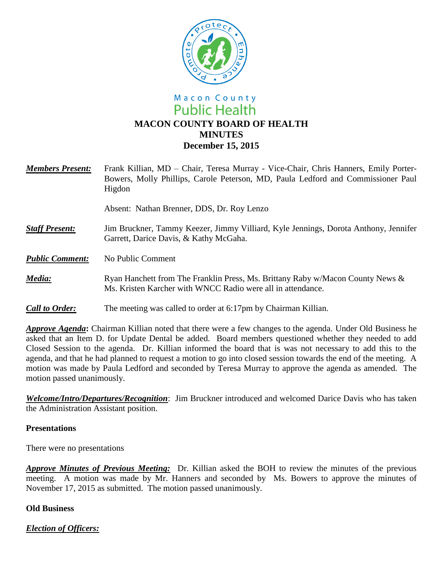

# Macon County **Public Health MACON COUNTY BOARD OF HEALTH MINUTES December 15, 2015**

| <b>Members Present:</b> | Frank Killian, MD – Chair, Teresa Murray - Vice-Chair, Chris Hanners, Emily Porter-<br>Bowers, Molly Phillips, Carole Peterson, MD, Paula Ledford and Commissioner Paul<br>Higdon |
|-------------------------|-----------------------------------------------------------------------------------------------------------------------------------------------------------------------------------|
|                         | Absent: Nathan Brenner, DDS, Dr. Roy Lenzo                                                                                                                                        |
| <b>Staff Present:</b>   | Jim Bruckner, Tammy Keezer, Jimmy Villiard, Kyle Jennings, Dorota Anthony, Jennifer<br>Garrett, Darice Davis, & Kathy McGaha.                                                     |
| <b>Public Comment:</b>  | No Public Comment                                                                                                                                                                 |
| Media:                  | Ryan Hanchett from The Franklin Press, Ms. Brittany Raby w/Macon County News &<br>Ms. Kristen Karcher with WNCC Radio were all in attendance.                                     |
| <b>Call to Order:</b>   | The meeting was called to order at 6:17pm by Chairman Killian.                                                                                                                    |

*Approve Agenda***:** Chairman Killian noted that there were a few changes to the agenda. Under Old Business he asked that an Item D. for Update Dental be added. Board members questioned whether they needed to add Closed Session to the agenda. Dr. Killian informed the board that is was not necessary to add this to the agenda, and that he had planned to request a motion to go into closed session towards the end of the meeting. A motion was made by Paula Ledford and seconded by Teresa Murray to approve the agenda as amended. The motion passed unanimously.

*Welcome/Intro/Departures/Recognition*: Jim Bruckner introduced and welcomed Darice Davis who has taken the Administration Assistant position.

## **Presentations**

There were no presentations

*Approve Minutes of Previous Meeting:* Dr. Killian asked the BOH to review the minutes of the previous meeting. A motion was made by Mr. Hanners and seconded by Ms. Bowers to approve the minutes of November 17, 2015 as submitted. The motion passed unanimously.

## **Old Business**

*Election of Officers:*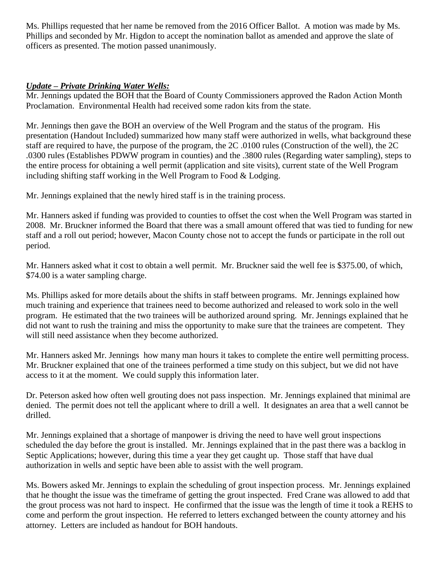Ms. Phillips requested that her name be removed from the 2016 Officer Ballot. A motion was made by Ms. Phillips and seconded by Mr. Higdon to accept the nomination ballot as amended and approve the slate of officers as presented. The motion passed unanimously.

## *Update – Private Drinking Water Wells:*

Mr. Jennings updated the BOH that the Board of County Commissioners approved the Radon Action Month Proclamation. Environmental Health had received some radon kits from the state.

Mr. Jennings then gave the BOH an overview of the Well Program and the status of the program. His presentation (Handout Included) summarized how many staff were authorized in wells, what background these staff are required to have, the purpose of the program, the 2C .0100 rules (Construction of the well), the 2C .0300 rules (Establishes PDWW program in counties) and the .3800 rules (Regarding water sampling), steps to the entire process for obtaining a well permit (application and site visits), current state of the Well Program including shifting staff working in the Well Program to Food & Lodging.

Mr. Jennings explained that the newly hired staff is in the training process.

Mr. Hanners asked if funding was provided to counties to offset the cost when the Well Program was started in 2008. Mr. Bruckner informed the Board that there was a small amount offered that was tied to funding for new staff and a roll out period; however, Macon County chose not to accept the funds or participate in the roll out period.

Mr. Hanners asked what it cost to obtain a well permit. Mr. Bruckner said the well fee is \$375.00, of which, \$74.00 is a water sampling charge.

Ms. Phillips asked for more details about the shifts in staff between programs. Mr. Jennings explained how much training and experience that trainees need to become authorized and released to work solo in the well program. He estimated that the two trainees will be authorized around spring. Mr. Jennings explained that he did not want to rush the training and miss the opportunity to make sure that the trainees are competent. They will still need assistance when they become authorized.

Mr. Hanners asked Mr. Jennings how many man hours it takes to complete the entire well permitting process. Mr. Bruckner explained that one of the trainees performed a time study on this subject, but we did not have access to it at the moment. We could supply this information later.

Dr. Peterson asked how often well grouting does not pass inspection. Mr. Jennings explained that minimal are denied. The permit does not tell the applicant where to drill a well. It designates an area that a well cannot be drilled.

Mr. Jennings explained that a shortage of manpower is driving the need to have well grout inspections scheduled the day before the grout is installed. Mr. Jennings explained that in the past there was a backlog in Septic Applications; however, during this time a year they get caught up. Those staff that have dual authorization in wells and septic have been able to assist with the well program.

Ms. Bowers asked Mr. Jennings to explain the scheduling of grout inspection process. Mr. Jennings explained that he thought the issue was the timeframe of getting the grout inspected. Fred Crane was allowed to add that the grout process was not hard to inspect. He confirmed that the issue was the length of time it took a REHS to come and perform the grout inspection. He referred to letters exchanged between the county attorney and his attorney. Letters are included as handout for BOH handouts.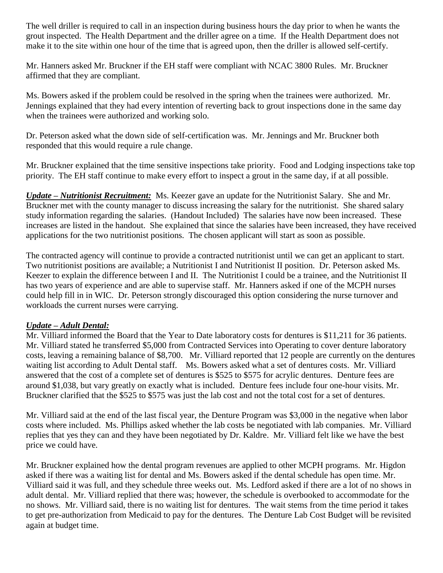The well driller is required to call in an inspection during business hours the day prior to when he wants the grout inspected. The Health Department and the driller agree on a time. If the Health Department does not make it to the site within one hour of the time that is agreed upon, then the driller is allowed self-certify.

Mr. Hanners asked Mr. Bruckner if the EH staff were compliant with NCAC 3800 Rules. Mr. Bruckner affirmed that they are compliant.

Ms. Bowers asked if the problem could be resolved in the spring when the trainees were authorized. Mr. Jennings explained that they had every intention of reverting back to grout inspections done in the same day when the trainees were authorized and working solo.

Dr. Peterson asked what the down side of self-certification was. Mr. Jennings and Mr. Bruckner both responded that this would require a rule change.

Mr. Bruckner explained that the time sensitive inspections take priority. Food and Lodging inspections take top priority. The EH staff continue to make every effort to inspect a grout in the same day, if at all possible.

*Update – Nutritionist Recruitment:* Ms. Keezer gave an update for the Nutritionist Salary. She and Mr. Bruckner met with the county manager to discuss increasing the salary for the nutritionist. She shared salary study information regarding the salaries. (Handout Included) The salaries have now been increased. These increases are listed in the handout. She explained that since the salaries have been increased, they have received applications for the two nutritionist positions. The chosen applicant will start as soon as possible.

The contracted agency will continue to provide a contracted nutritionist until we can get an applicant to start. Two nutritionist positions are available; a Nutritionist I and Nutritionist II position. Dr. Peterson asked Ms. Keezer to explain the difference between I and II. The Nutritionist I could be a trainee, and the Nutritionist II has two years of experience and are able to supervise staff. Mr. Hanners asked if one of the MCPH nurses could help fill in in WIC. Dr. Peterson strongly discouraged this option considering the nurse turnover and workloads the current nurses were carrying.

## *Update – Adult Dental:*

Mr. Villiard informed the Board that the Year to Date laboratory costs for dentures is \$11,211 for 36 patients. Mr. Villiard stated he transferred \$5,000 from Contracted Services into Operating to cover denture laboratory costs, leaving a remaining balance of \$8,700. Mr. Villiard reported that 12 people are currently on the dentures waiting list according to Adult Dental staff. Ms. Bowers asked what a set of dentures costs. Mr. Villiard answered that the cost of a complete set of dentures is \$525 to \$575 for acrylic dentures. Denture fees are around \$1,038, but vary greatly on exactly what is included. Denture fees include four one-hour visits. Mr. Bruckner clarified that the \$525 to \$575 was just the lab cost and not the total cost for a set of dentures.

Mr. Villiard said at the end of the last fiscal year, the Denture Program was \$3,000 in the negative when labor costs where included. Ms. Phillips asked whether the lab costs be negotiated with lab companies. Mr. Villiard replies that yes they can and they have been negotiated by Dr. Kaldre. Mr. Villiard felt like we have the best price we could have.

Mr. Bruckner explained how the dental program revenues are applied to other MCPH programs. Mr. Higdon asked if there was a waiting list for dental and Ms. Bowers asked if the dental schedule has open time. Mr. Villiard said it was full, and they schedule three weeks out. Ms. Ledford asked if there are a lot of no shows in adult dental. Mr. Villiard replied that there was; however, the schedule is overbooked to accommodate for the no shows. Mr. Villiard said, there is no waiting list for dentures. The wait stems from the time period it takes to get pre-authorization from Medicaid to pay for the dentures. The Denture Lab Cost Budget will be revisited again at budget time.